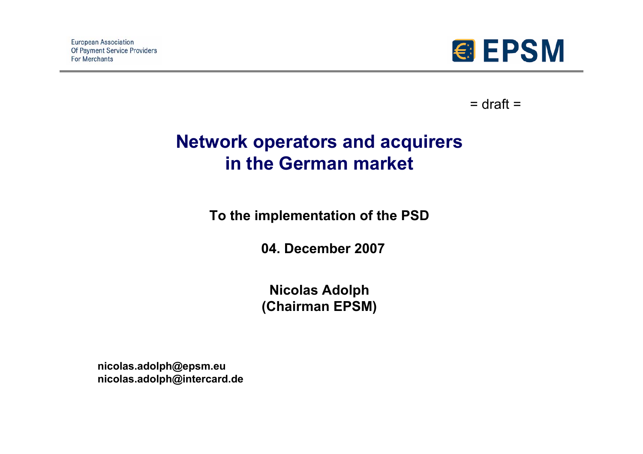

 $=$  draft  $=$ 

# **Network operators and acquirers in the German market**

**To the implementation of the PSD**

**04. December 2007**

**Nicolas Adolph (Chairman EPSM)**

**nicolas.adolph@epsm.eu nicolas.adolph@intercard.de**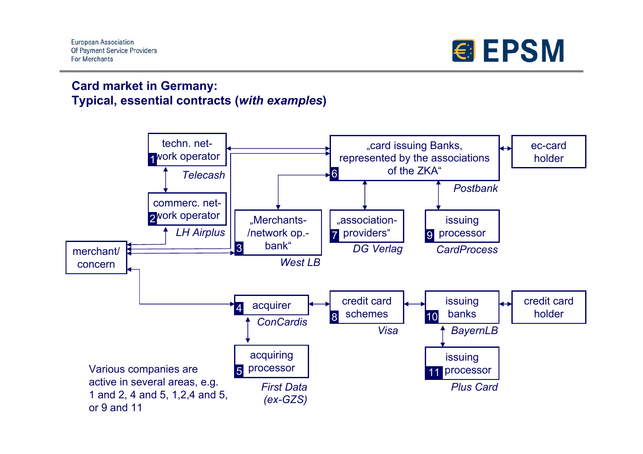

#### **Card market in Germany: Typical, essential contracts (***with examples***)**

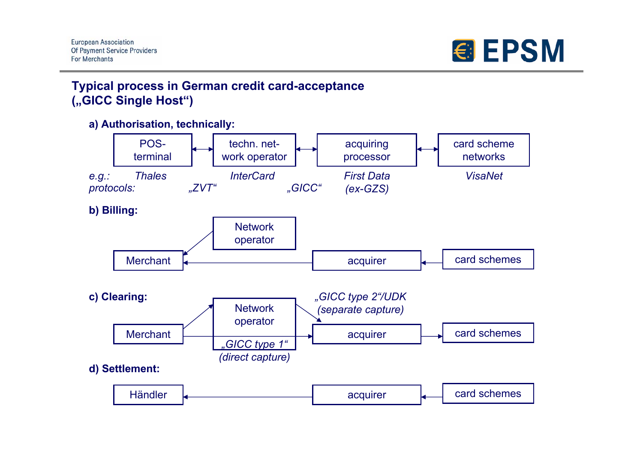

## **Typical process in German credit card-acceptance ("GICC Single Host")**

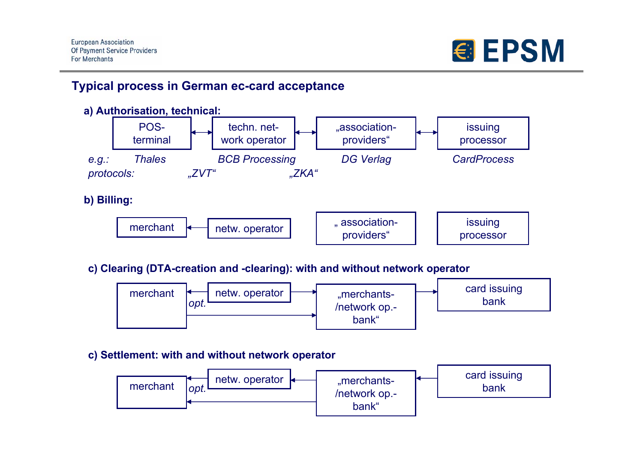

### **Typical process in German ec-card acceptance**



**c) Clearing (DTA-creation and -clearing): with and without network operator**



**c) Settlement: with and without network operator**

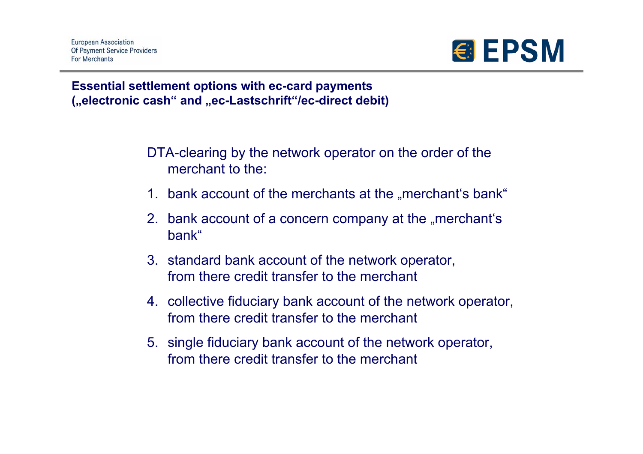

### **Essential settlement options with ec-card payments ("electronic cash" and "ec-Lastschrift"/ec-direct debit)**

DTA-clearing by the network operator on the order of the merchant to the:

- 1. bank account of the merchants at the "merchant's bank"
- 2. bank account of a concern company at the "merchant's bank"
- 3. standard bank account of the network operator, from there credit transfer to the merchant
- 4. collective fiduciary bank account of the network operator, from there credit transfer to the merchant
- 5. single fiduciary bank account of the network operator, from there credit transfer to the merchant